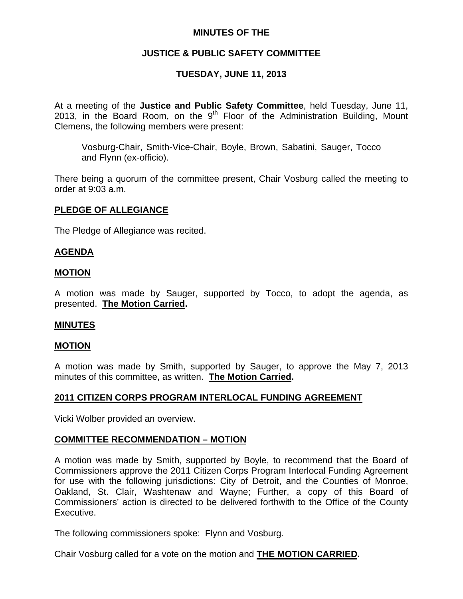## **MINUTES OF THE**

# **JUSTICE & PUBLIC SAFETY COMMITTEE**

# **TUESDAY, JUNE 11, 2013**

At a meeting of the **Justice and Public Safety Committee**, held Tuesday, June 11, 2013, in the Board Room, on the  $9<sup>th</sup>$  Floor of the Administration Building, Mount Clemens, the following members were present:

Vosburg-Chair, Smith-Vice-Chair, Boyle, Brown, Sabatini, Sauger, Tocco and Flynn (ex-officio).

There being a quorum of the committee present, Chair Vosburg called the meeting to order at 9:03 a.m.

### **PLEDGE OF ALLEGIANCE**

The Pledge of Allegiance was recited.

### **AGENDA**

### **MOTION**

A motion was made by Sauger, supported by Tocco, to adopt the agenda, as presented. **The Motion Carried.** 

### **MINUTES**

### **MOTION**

A motion was made by Smith, supported by Sauger, to approve the May 7, 2013 minutes of this committee, as written. **The Motion Carried.** 

### **2011 CITIZEN CORPS PROGRAM INTERLOCAL FUNDING AGREEMENT**

Vicki Wolber provided an overview.

### **COMMITTEE RECOMMENDATION – MOTION**

A motion was made by Smith, supported by Boyle, to recommend that the Board of Commissioners approve the 2011 Citizen Corps Program Interlocal Funding Agreement for use with the following jurisdictions: City of Detroit, and the Counties of Monroe, Oakland, St. Clair, Washtenaw and Wayne; Further, a copy of this Board of Commissioners' action is directed to be delivered forthwith to the Office of the County Executive.

The following commissioners spoke: Flynn and Vosburg.

Chair Vosburg called for a vote on the motion and **THE MOTION CARRIED.**